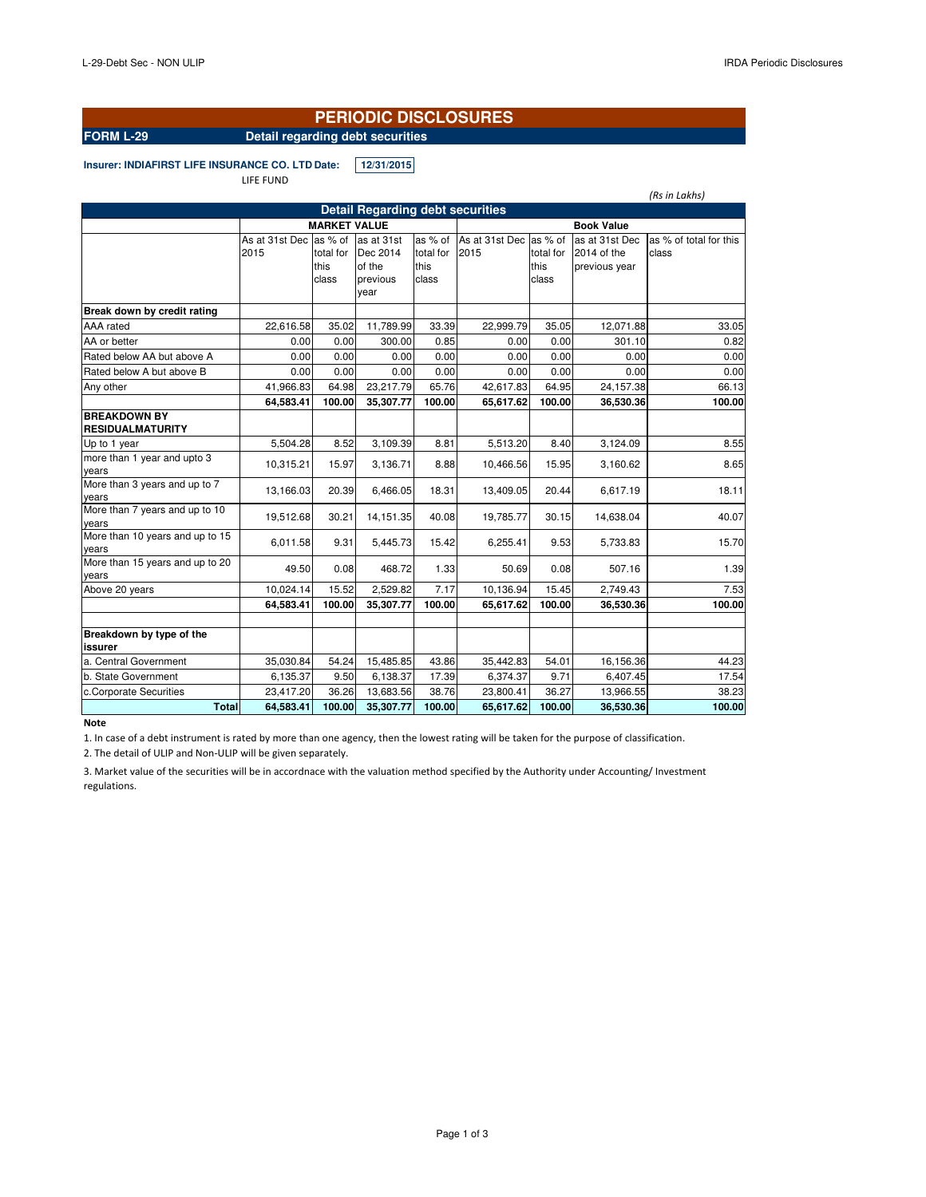*(Rs in Lakhs)*

#### **PERIODIC DISCLOSURES**

## **FORM L-29 Detail regarding debt securities**

**Insurer: INDIAFIRST LIFE INSURANCE CO. LTD.Date: 12/31/2015**

LIFE FUND

|  | Dotail Ponarding dobt coou |  |
|--|----------------------------|--|
|  |                            |  |
|  |                            |  |
|  |                            |  |

| <b>Detail Regarding debt securities</b>        |                        |                     |            |                   |                        |           |                |                        |  |  |
|------------------------------------------------|------------------------|---------------------|------------|-------------------|------------------------|-----------|----------------|------------------------|--|--|
|                                                |                        | <b>MARKET VALUE</b> |            | <b>Book Value</b> |                        |           |                |                        |  |  |
|                                                | As at 31st Dec as % of |                     | as at 31st | as % of           | As at 31st Dec as % of |           | as at 31st Dec | as % of total for this |  |  |
|                                                | 2015                   | total for           | Dec 2014   | total for         | 2015                   | total for | 2014 of the    | class                  |  |  |
|                                                |                        | this                | of the     | this              |                        | this      | previous year  |                        |  |  |
|                                                |                        | class               | previous   | class             |                        | class     |                |                        |  |  |
|                                                |                        |                     | year       |                   |                        |           |                |                        |  |  |
| Break down by credit rating                    |                        |                     |            |                   |                        |           |                |                        |  |  |
| AAA rated                                      | 22,616.58              | 35.02               | 11,789.99  | 33.39             | 22,999.79              | 35.05     | 12,071.88      | 33.05                  |  |  |
| AA or better                                   | 0.00                   | 0.00                | 300.00     | 0.85              | 0.00                   | 0.00      | 301.10         | 0.82                   |  |  |
| Rated below AA but above A                     | 0.00                   | 0.00                | 0.00       | 0.00              | 0.00                   | 0.00      | 0.00           | 0.00                   |  |  |
| Rated below A but above B                      | 0.00                   | 0.00                | 0.00       | 0.00              | 0.00                   | 0.00      | 0.00           | 0.00                   |  |  |
| Any other                                      | 41,966.83              | 64.98               | 23,217.79  | 65.76             | 42,617.83              | 64.95     | 24,157.38      | 66.13                  |  |  |
|                                                | 64,583.41              | 100.00              | 35,307.77  | 100.00            | 65,617.62              | 100.00    | 36,530.36      | 100.00                 |  |  |
| <b>BREAKDOWN BY</b><br><b>RESIDUALMATURITY</b> |                        |                     |            |                   |                        |           |                |                        |  |  |
| Up to 1 year                                   | 5,504.28               | 8.52                | 3,109.39   | 8.81              | 5,513.20               | 8.40      | 3,124.09       | 8.55                   |  |  |
| more than 1 year and upto 3                    |                        |                     |            |                   |                        |           |                |                        |  |  |
| years                                          | 10,315.21              | 15.97               | 3,136.71   | 8.88              | 10,466.56              | 15.95     | 3,160.62       | 8.65                   |  |  |
| More than 3 years and up to 7                  | 13,166.03              | 20.39               | 6,466.05   | 18.31             | 13,409.05              | 20.44     | 6,617.19       | 18.11                  |  |  |
| years                                          |                        |                     |            |                   |                        |           |                |                        |  |  |
| More than 7 years and up to 10<br>years        | 19,512.68              | 30.21               | 14, 151.35 | 40.08             | 19,785.77              | 30.15     | 14,638.04      | 40.07                  |  |  |
| More than 10 years and up to 15<br>years       | 6,011.58               | 9.31                | 5,445.73   | 15.42             | 6,255.41               | 9.53      | 5,733.83       | 15.70                  |  |  |
| More than 15 years and up to 20                | 49.50                  | 0.08                | 468.72     | 1.33              | 50.69                  | 0.08      | 507.16         | 1.39                   |  |  |
| years                                          |                        |                     |            |                   |                        |           |                |                        |  |  |
| Above 20 years                                 | 10,024.14              | 15.52               | 2,529.82   | 7.17              | 10,136.94              | 15.45     | 2,749.43       | 7.53                   |  |  |
|                                                | 64,583.41              | 100.00              | 35,307.77  | 100.00            | 65,617.62              | 100.00    | 36,530.36      | 100.00                 |  |  |
|                                                |                        |                     |            |                   |                        |           |                |                        |  |  |
| Breakdown by type of the<br><b>issurer</b>     |                        |                     |            |                   |                        |           |                |                        |  |  |
| a. Central Government                          | 35,030.84              | 54.24               | 15,485.85  | 43.86             | 35,442.83              | 54.01     | 16,156.36      | 44.23                  |  |  |
| b. State Government                            | 6,135.37               | 9.50                | 6,138.37   | 17.39             | 6,374.37               | 9.71      | 6,407.45       | 17.54                  |  |  |
| c.Corporate Securities                         | 23,417.20              | 36.26               | 13,683.56  | 38.76             | 23,800.41              | 36.27     | 13,966.55      | 38.23                  |  |  |
| <b>Total</b>                                   | 64,583.41              | 100.00              | 35,307.77  | 100.00            | 65,617.62              | 100.00    | 36,530.36      | 100.00                 |  |  |

#### **Note**

1. In case of a debt instrument is rated by more than one agency, then the lowest rating will be taken for the purpose of classification.

2. The detail of ULIP and Non-ULIP will be given separately.

3. Market value of the securities will be in accordnace with the valuation method specified by the Authority under Accounting/ Investment regulations.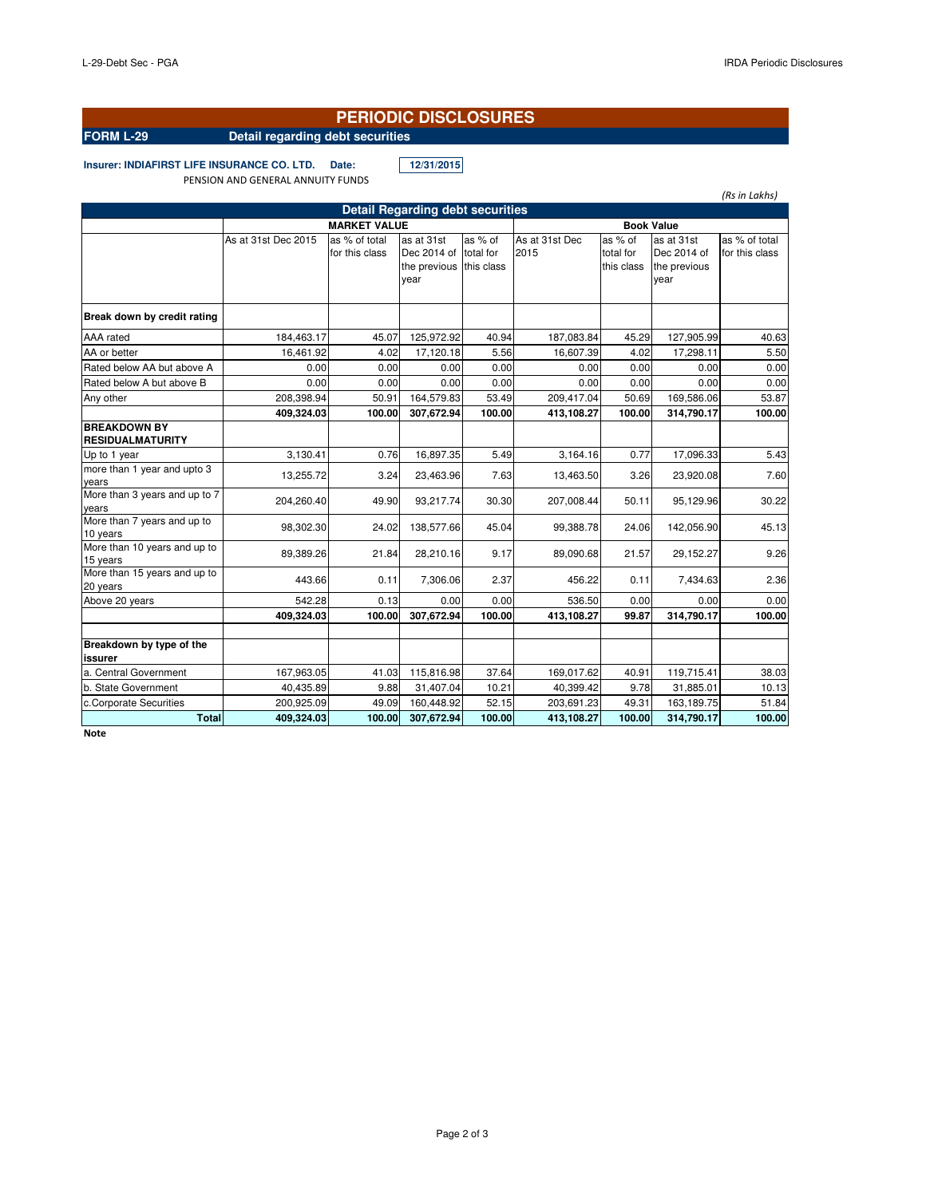*(Rs in Lakhs)*

### **PERIODIC DISCLOSURES**

# **FORM L-29 Detail regarding debt securities**

**Insurer: INDIAFIRST LIFE INSURANCE CO. LTD. Date: 12/31/2015** PENSION AND GENERAL ANNUITY FUNDS

|                                                |                                          |                                 | <b>Detail Regarding debt securities</b>           |                                    |                        |                                    |                                                   |                                 |
|------------------------------------------------|------------------------------------------|---------------------------------|---------------------------------------------------|------------------------------------|------------------------|------------------------------------|---------------------------------------------------|---------------------------------|
|                                                | <b>MARKET VALUE</b><br><b>Book Value</b> |                                 |                                                   |                                    |                        |                                    |                                                   |                                 |
|                                                | As at 31st Dec 2015                      | as % of total<br>for this class | as at 31st<br>Dec 2014 of<br>the previous<br>year | as % of<br>total for<br>this class | As at 31st Dec<br>2015 | as % of<br>total for<br>this class | as at 31st<br>Dec 2014 of<br>the previous<br>vear | as % of total<br>for this class |
| Break down by credit rating                    |                                          |                                 |                                                   |                                    |                        |                                    |                                                   |                                 |
| AAA rated                                      | 184,463.17                               | 45.07                           | 125,972.92                                        | 40.94                              | 187,083.84             | 45.29                              | 127,905.99                                        | 40.63                           |
| AA or better                                   | 16,461.92                                | 4.02                            | 17,120.18                                         | 5.56                               | 16,607.39              | 4.02                               | 17,298.11                                         | 5.50                            |
| Rated below AA but above A                     | 0.00                                     | 0.00                            | 0.00                                              | 0.00                               | 0.00                   | 0.00                               | 0.00                                              | 0.00                            |
| Rated below A but above B                      | 0.00                                     | 0.00                            | 0.00                                              | 0.00                               | 0.00                   | 0.00                               | 0.00                                              | 0.00                            |
| Any other                                      | 208,398.94                               | 50.91                           | 164,579.83                                        | 53.49                              | 209,417.04             | 50.69                              | 169,586.06                                        | 53.87                           |
|                                                | 409,324.03                               | 100.00                          | 307,672.94                                        | 100.00                             | 413,108.27             | 100.00                             | 314,790.17                                        | 100.00                          |
| <b>BREAKDOWN BY</b><br><b>RESIDUALMATURITY</b> |                                          |                                 |                                                   |                                    |                        |                                    |                                                   |                                 |
| Up to 1 year                                   | 3,130.41                                 | 0.76                            | 16,897.35                                         | 5.49                               | 3,164.16               | 0.77                               | 17,096.33                                         | 5.43                            |
| more than 1 year and upto 3<br>vears           | 13,255.72                                | 3.24                            | 23,463.96                                         | 7.63                               | 13,463.50              | 3.26                               | 23,920.08                                         | 7.60                            |
| More than 3 years and up to 7<br>vears         | 204.260.40                               | 49.90                           | 93.217.74                                         | 30.30                              | 207,008.44             | 50.11                              | 95,129.96                                         | 30.22                           |
| More than 7 years and up to<br>10 years        | 98,302.30                                | 24.02                           | 138,577.66                                        | 45.04                              | 99,388.78              | 24.06                              | 142,056.90                                        | 45.13                           |
| More than 10 years and up to<br>15 years       | 89,389.26                                | 21.84                           | 28,210.16                                         | 9.17                               | 89,090.68              | 21.57                              | 29,152.27                                         | 9.26                            |
| More than 15 years and up to<br>20 years       | 443.66                                   | 0.11                            | 7,306.06                                          | 2.37                               | 456.22                 | 0.11                               | 7,434.63                                          | 2.36                            |
| Above 20 years                                 | 542.28                                   | 0.13                            | 0.00                                              | 0.00                               | 536.50                 | 0.00                               | 0.00                                              | 0.00                            |
|                                                | 409,324.03                               | 100.00                          | 307,672.94                                        | 100.00                             | 413,108.27             | 99.87                              | 314,790.17                                        | 100.00                          |
| Breakdown by type of the<br>issurer            |                                          |                                 |                                                   |                                    |                        |                                    |                                                   |                                 |
| a. Central Government                          | 167,963.05                               | 41.03                           | 115,816.98                                        | 37.64                              | 169,017.62             | 40.91                              | 119,715.41                                        | 38.03                           |
| b. State Government                            | 40,435.89                                | 9.88                            | 31,407.04                                         | 10.21                              | 40,399.42              | 9.78                               | 31,885.01                                         | 10.13                           |
| c.Corporate Securities                         | 200,925.09                               | 49.09                           | 160,448.92                                        | 52.15                              | 203,691.23             | 49.31                              | 163,189.75                                        | 51.84                           |
| <b>Total</b>                                   | 409,324.03                               | 100.00                          | 307,672.94                                        | 100.00                             | 413,108.27             | 100.00                             | 314,790.17                                        | 100.00                          |

**Note**